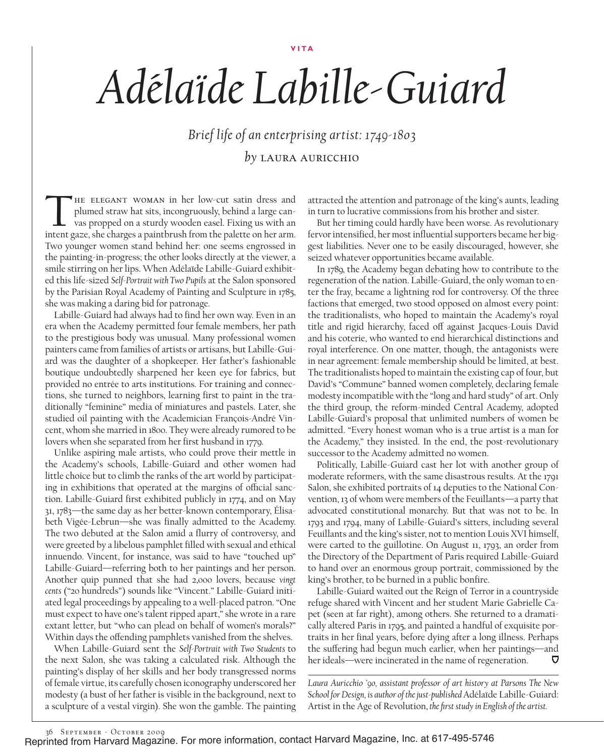## **Vita**

## *Adélaïde Labille-Guiard*

*Brief life of an enterprising artist: 1749-1803 by* Laura auricchio

THE ELEGANT WOMAN in her low-cut satin dress and plumed straw hat sits, incongruously, behind a large canvas propped on a sturdy wooden easel. Fixing us with an intent gaze, she charges a paintbrush from the palette on her plumed straw hat sits, incongruously, behind a large canvas propped on a sturdy wooden easel. Fixing us with an intent gaze, she charges a paintbrush from the palette on her arm. Two younger women stand behind her: one seems engrossed in the painting-in-progress; the other looks directly at the viewer, a smile stirring on her lips. When Adélaïde Labille-Guiard exhibited this life-sized *Self-Portrait with Two Pupils* at the Salon sponsored by the Parisian Royal Academy of Painting and Sculpture in 1785, she was making a daring bid for patronage.

Labille-Guiard had always had to find her own way. Even in an era when the Academy permitted four female members, her path to the prestigious body was unusual. Many professional women painters came from families of artists or artisans, but Labille-Guiard was the daughter of a shopkeeper. Her father's fashionable boutique undoubtedly sharpened her keen eye for fabrics, but provided no entrée to arts institutions. For training and connections, she turned to neighbors, learning first to paint in the traditionally "feminine" media of miniatures and pastels. Later, she studied oil painting with the Academician François-André Vincent, whom she married in 1800. They were already rumored to be lovers when she separated from her first husband in 1779.

Unlike aspiring male artists, who could prove their mettle in the Academy's schools, Labille-Guiard and other women had little choice but to climb the ranks of the art world by participating in exhibitions that operated at the margins of official sanction. Labille-Guiard first exhibited publicly in 1774, and on May 31, 1783—the same day as her better-known contemporary, Élisabeth Vigée-Lebrun—she was finally admitted to the Academy. The two debuted at the Salon amid a flurry of controversy, and were greeted by a libelous pamphlet filled with sexual and ethical innuendo. Vincent, for instance, was said to have "touched up" Labille-Guiard—referring both to her paintings and her person. Another quip punned that she had 2,000 lovers, because *vingt cents* ("20 hundreds") sounds like "Vincent." Labille-Guiard initiated legal proceedings by appealing to a well-placed patron. "One must expect to have one's talent ripped apart," she wrote in a rare extant letter, but "who can plead on behalf of women's morals?" Within days the offending pamphlets vanished from the shelves.

When Labille-Guiard sent the *Self-Portrait with Two Students* to the next Salon, she was taking a calculated risk. Although the painting's display of her skills and her body transgressed norms of female virtue, its carefully chosen iconography underscored her modesty (a bust of her father is visible in the background, next to a sculpture of a vestal virgin). She won the gamble. The painting attracted the attention and patronage of the king's aunts, leading in turn to lucrative commissions from his brother and sister.

But her timing could hardly have been worse. As revolutionary fervor intensified, her most influential supporters became her biggest liabilities. Never one to be easily discouraged, however, she seized whatever opportunities became available.

In 1789, the Academy began debating how to contribute to the regeneration of the nation. Labille-Guiard, the only woman to enter the fray, became a lightning rod for controversy. Of the three factions that emerged, two stood opposed on almost every point: the traditionalists, who hoped to maintain the Academy's royal title and rigid hierarchy, faced off against Jacques-Louis David and his coterie, who wanted to end hierarchical distinctions and royal interference. On one matter, though, the antagonists were in near agreement: female membership should be limited, at best. The traditionalists hoped to maintain the existing cap of four, but David's "Commune" banned women completely, declaring female modesty incompatible with the "long and hard study" of art. Only the third group, the reform-minded Central Academy, adopted Labille-Guiard's proposal that unlimited numbers of women be admitted. "Every honest woman who is a true artist is a man for the Academy," they insisted. In the end, the post-revolutionary successor to the Academy admitted no women.

Politically, Labille-Guiard cast her lot with another group of moderate reformers, with the same disastrous results. At the 1791 Salon, she exhibited portraits of 14 deputies to the National Convention, 13 of whom were members of the Feuillants—a party that advocated constitutional monarchy. But that was not to be. In 1793 and 1794, many of Labille-Guiard's sitters, including several Feuillants and the king's sister, not to mention Louis XVI himself, were carted to the guillotine. On August 11, 1793, an order from the Directory of the Department of Paris required Labille-Guiard to hand over an enormous group portrait, commissioned by the king's brother, to be burned in a public bonfire.

Labille-Guiard waited out the Reign of Terror in a countryside refuge shared with Vincent and her student Marie Gabrielle Capet (seen at far right), among others. She returned to a dramatically altered Paris in 1795, and painted a handful of exquisite portraits in her final years, before dying after a long illness. Perhaps the suffering had begun much earlier, when her paintings—and her ideals—were incinerated in the name of regeneration. ヮ

*Laura Auricchio '90, assistant professor of art history at Parsons The New School for Design, is author of the just-published* Adélaïde Labille-Guiard: Artist in the Age of Revolution, *the first study in English of the artist.*